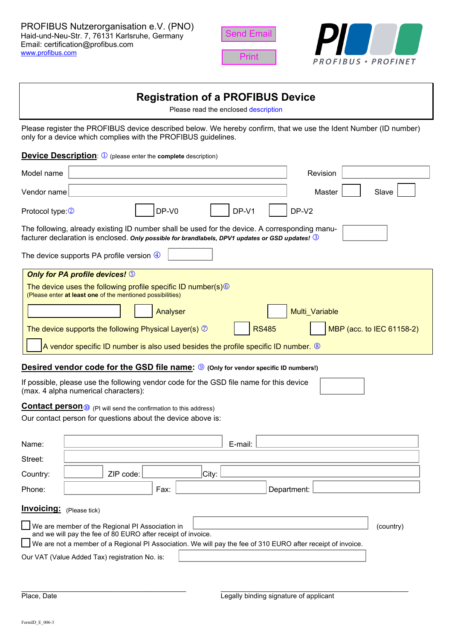





# **Registration of a PROFIBUS Device**

Please read the enclosed [description](#page-1-0)

Please register the PROFIBUS device described below. We hereby confirm, that we use the Ident Number (ID number) only for a device which complies with the PROFIBUS guidelines.

**Device Description: 1** (please enter the **complete** description)

| Model name                                                                                                                                                                                                    | Revision                  |  |  |
|---------------------------------------------------------------------------------------------------------------------------------------------------------------------------------------------------------------|---------------------------|--|--|
| Vendor name                                                                                                                                                                                                   | Slave<br>Master           |  |  |
| DP-V0<br>DP-V1<br>Protocol type: 2                                                                                                                                                                            | DP-V2                     |  |  |
| The following, already existing ID number shall be used for the device. A corresponding manu-<br>facturer declaration is enclosed. Only possible for brandlabels, DPV1 updates or GSD updates! $\circledcirc$ |                           |  |  |
| The device supports PA profile version $\bigcirc$                                                                                                                                                             |                           |  |  |
| <b>Only for PA profile devices! S</b><br>The device uses the following profile specific ID number(s) <sup>6</sup><br>(Please enter at least one of the mentioned possibilities)                               |                           |  |  |
| Analyser                                                                                                                                                                                                      | Multi Variable            |  |  |
| <b>RS485</b><br>The device supports the following Physical Layer(s) $\oslash$                                                                                                                                 | MBP (acc. to IEC 61158-2) |  |  |
| A vendor specific ID number is also used besides the profile specific ID number. ®                                                                                                                            |                           |  |  |
| Desired vendor code for the GSD file name: 9 (Only for vendor specific ID numbers!)                                                                                                                           |                           |  |  |
| If possible, please use the following vendor code for the GSD file name for this device<br>(max. 4 alpha numerical characters):                                                                               |                           |  |  |
| <b>Contact person</b> <sub>10</sub> (PI will send the confirmation to this address)<br>Our contact person for questions about the device above is:                                                            |                           |  |  |
| E-mail:<br>Name:                                                                                                                                                                                              |                           |  |  |
| Street:                                                                                                                                                                                                       |                           |  |  |
| City:<br>ZIP code:<br>Country:                                                                                                                                                                                |                           |  |  |
| Phone:<br>Fax:                                                                                                                                                                                                | Department:               |  |  |
| Invoicing: (Please tick)                                                                                                                                                                                      |                           |  |  |
| We are member of the Regional PI Association in                                                                                                                                                               | (country)                 |  |  |
| and we will pay the fee of 80 EURO after receipt of invoice.<br>We are not a member of a Regional PI Association. We will pay the fee of 310 EURO after receipt of invoice.                                   |                           |  |  |
| Our VAT (Value Added Tax) registration No. is:                                                                                                                                                                |                           |  |  |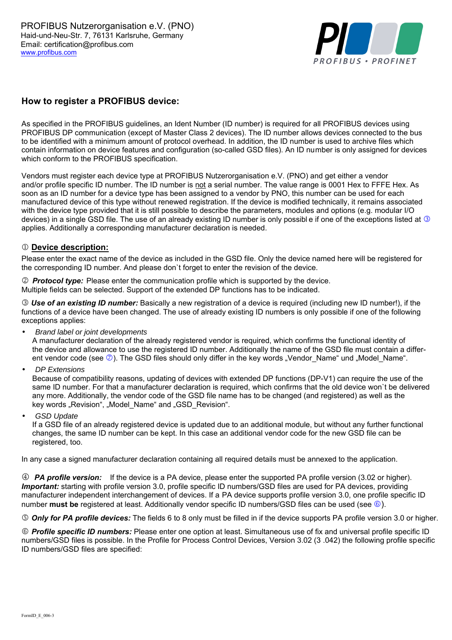

# <span id="page-1-0"></span>**How to register a PROFIBUS device:**

As specified in the PROFIBUS guidelines, an Ident Number (ID number) is required for all PROFIBUS devices using PROFIBUS DP communication (except of Master Class 2 devices). The ID number allows devices connected to the bus to be identified with a minimum amount of protocol overhead. In addition, the ID number is used to archive files which contain information on device features and configuration (so-called GSD files). An ID number is only assigned for devices which conform to the PROFIBUS specification.

Vendors must register each device type at PROFIBUS Nutzerorganisation e.V. (PNO) and get either a vendor and/or profile specific ID number. The ID number is not a serial number. The value range is 0001 Hex to FFFE Hex. As soon as an ID number for a device type has been assigned to a vendor by PNO, this number can be used for each manufactured device of this type without renewed registration. If the device is modified technically, it remains associated with the device type provided that it is still possible to describe the parameters, modules and options (e.g. modular I/O devices) in a single GSD file. The use of an already existing ID number is only possible if one of the exceptions listed at <sup>3</sup> applies. Additionally a corresponding manufacturer declaration is needed.

#### $@$  Device description:

Please enter the exact name of the device as included in the GSD file. Only the device named here will be registered for the corresponding ID number. And please don`t forget to enter the revision of the device.

k *Protocol type:* Please enter the communication profile which is supported by the device. Multiple fields can be selected. Support of the extended DP functions has to be indicated.

l *Use of an existing ID number:* Basically a new registration of a device is required (including new ID number!), if the functions of a device have been changed. The use of already existing ID numbers is only possible if one of the following exceptions applies:

• *Brand label or joint developments*

A manufacturer declaration of the already registered vendor is required, which confirms the functional identity of the device and allowance to use the registered ID number. Additionally the name of the GSD file must contain a different vendor code (see  $\oslash$ ). The GSD files should only differ in the key words "Vendor\_Name" und "Model\_Name".

• *DP Extensions*

Because of compatibility reasons, updating of devices with extended DP functions (DP-V1) can require the use of the same ID number. For that a manufacturer declaration is required, which confirms that the old device won`t be delivered any more. Additionally, the vendor code of the GSD file name has to be changed (and registered) as well as the key words "Revision", "Model Name" and "GSD Revision".

• *GSD Update*

If a GSD file of an already registered device is updated due to an additional module, but without any further functional changes, the same ID number can be kept. In this case an additional vendor code for the new GSD file can be registered, too.

In any case a signed manufacturer declaration containing all required details must be annexed to the application.

m *PA profile version:* If the device is a PA device, please enter the supported PA profile version (3.02 or higher). *Important:* starting with profile version 3.0, profile specific ID numbers/GSD files are used for PA devices, providing manufacturer independent interchangement of devices. If a PA device supports profile version 3.0, one profile specific ID number **must be** registered at least. Additionally vendor specific ID numbers/GSD files can be used (see  $\circledcirc$ ).

n *Only for PA profile devices:* The fields 6 to 8 only must be filled in if the device supports PA profile version 3.0 or higher.

o *Profile specific ID numbers:* Please enter one option at least. Simultaneous use of fix and universal profile specific ID numbers/GSD files is possible. In the Profile for Process Control Devices, Version 3.02 (3 .042) the following profile specific ID numbers/GSD files are specified: